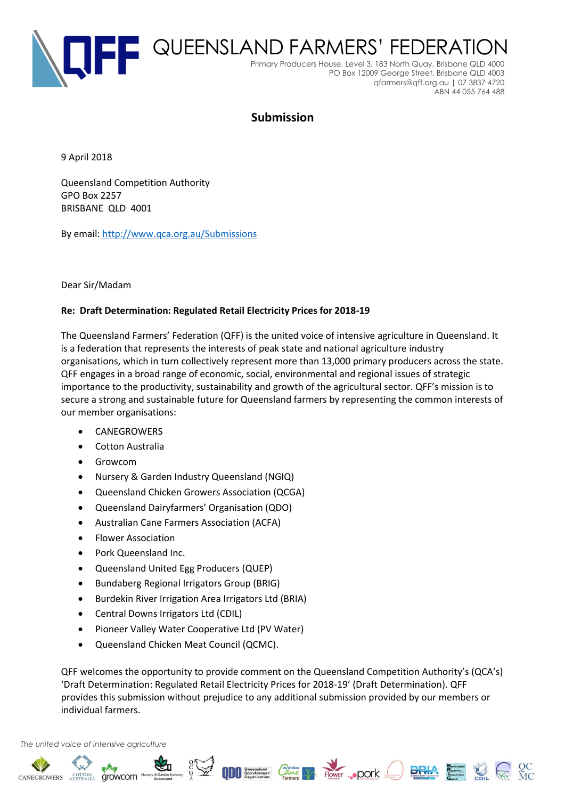

# **Submission**

9 April 2018

Queensland Competition Authority GPO Box 2257 BRISBANE QLD 4001

By email: <http://www.qca.org.au/Submissions>

#### Dear Sir/Madam

#### **Re: Draft Determination: Regulated Retail Electricity Prices for 2018-19**

The Queensland Farmers' Federation (QFF) is the united voice of intensive agriculture in Queensland. It is a federation that represents the interests of peak state and national agriculture industry organisations, which in turn collectively represent more than 13,000 primary producers across the state. QFF engages in a broad range of economic, social, environmental and regional issues of strategic importance to the productivity, sustainability and growth of the agricultural sector. QFF's mission is to secure a strong and sustainable future for Queensland farmers by representing the common interests of our member organisations:

- **CANEGROWERS**
- Cotton Australia
- Growcom
- Nursery & Garden Industry Queensland (NGIQ)
- Queensland Chicken Growers Association (QCGA)
- Queensland Dairyfarmers' Organisation (QDO)
- Australian Cane Farmers Association (ACFA)
- Flower Association
- Pork Queensland Inc.
- Queensland United Egg Producers (QUEP)
- Bundaberg Regional Irrigators Group (BRIG)
- Burdekin River Irrigation Area Irrigators Ltd (BRIA)
- Central Downs Irrigators Ltd (CDIL)
- Pioneer Valley Water Cooperative Ltd (PV Water)
- Queensland Chicken Meat Council (QCMC).

QFF welcomes the opportunity to provide comment on the Queensland Competition Authority's (QCA's) 'Draft Determination: Regulated Retail Electricity Prices for 2018-19' (Draft Determination). QFF provides this submission without prejudice to any additional submission provided by our members or individual farmers.

**BRIA** Research

*The united voice of intensive agriculture*

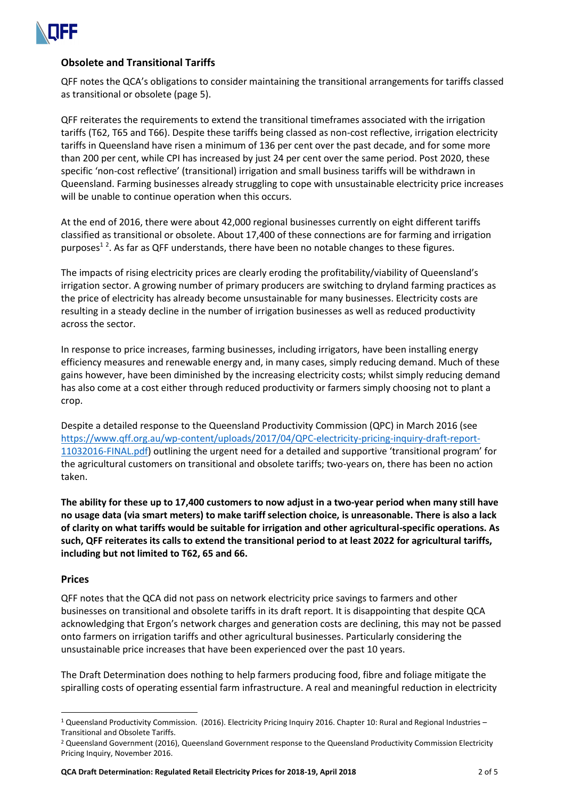

# **Obsolete and Transitional Tariffs**

QFF notes the QCA's obligations to consider maintaining the transitional arrangements for tariffs classed as transitional or obsolete (page 5).

QFF reiterates the requirements to extend the transitional timeframes associated with the irrigation tariffs (T62, T65 and T66). Despite these tariffs being classed as non-cost reflective, irrigation electricity tariffs in Queensland have risen a minimum of 136 per cent over the past decade, and for some more than 200 per cent, while CPI has increased by just 24 per cent over the same period. Post 2020, these specific 'non-cost reflective' (transitional) irrigation and small business tariffs will be withdrawn in Queensland. Farming businesses already struggling to cope with unsustainable electricity price increases will be unable to continue operation when this occurs.

At the end of 2016, there were about 42,000 regional businesses currently on eight different tariffs classified as transitional or obsolete. About 17,400 of these connections are for farming and irrigation purposes<sup>12</sup>. As far as QFF understands, there have been no notable changes to these figures.

The impacts of rising electricity prices are clearly eroding the profitability/viability of Queensland's irrigation sector. A growing number of primary producers are switching to dryland farming practices as the price of electricity has already become unsustainable for many businesses. Electricity costs are resulting in a steady decline in the number of irrigation businesses as well as reduced productivity across the sector.

In response to price increases, farming businesses, including irrigators, have been installing energy efficiency measures and renewable energy and, in many cases, simply reducing demand. Much of these gains however, have been diminished by the increasing electricity costs; whilst simply reducing demand has also come at a cost either through reduced productivity or farmers simply choosing not to plant a crop.

Despite a detailed response to the Queensland Productivity Commission (QPC) in March 2016 (see [https://www.qff.org.au/wp-content/uploads/2017/04/QPC-electricity-pricing-inquiry-draft-report-](https://www.qff.org.au/wp-content/uploads/2017/04/QPC-electricity-pricing-inquiry-draft-report-11032016-FINAL.pdf)[11032016-FINAL.pdf](https://www.qff.org.au/wp-content/uploads/2017/04/QPC-electricity-pricing-inquiry-draft-report-11032016-FINAL.pdf)) outlining the urgent need for a detailed and supportive 'transitional program' for the agricultural customers on transitional and obsolete tariffs; two-years on, there has been no action taken.

**The ability for these up to 17,400 customers to now adjust in a two-year period when many still have no usage data (via smart meters) to make tariff selection choice, is unreasonable. There is also a lack of clarity on what tariffs would be suitable for irrigation and other agricultural-specific operations. As such, QFF reiterates its calls to extend the transitional period to at least 2022 for agricultural tariffs, including but not limited to T62, 65 and 66.**

#### **Prices**

 $\overline{a}$ 

QFF notes that the QCA did not pass on network electricity price savings to farmers and other businesses on transitional and obsolete tariffs in its draft report. It is disappointing that despite QCA acknowledging that Ergon's network charges and generation costs are declining, this may not be passed onto farmers on irrigation tariffs and other agricultural businesses. Particularly considering the unsustainable price increases that have been experienced over the past 10 years.

The Draft Determination does nothing to help farmers producing food, fibre and foliage mitigate the spiralling costs of operating essential farm infrastructure. A real and meaningful reduction in electricity

<sup>1</sup> Queensland Productivity Commission. (2016). Electricity Pricing Inquiry 2016. Chapter 10: Rural and Regional Industries – Transitional and Obsolete Tariffs.

<sup>&</sup>lt;sup>2</sup> Queensland Government (2016), Queensland Government response to the Queensland Productivity Commission Electricity Pricing Inquiry, November 2016.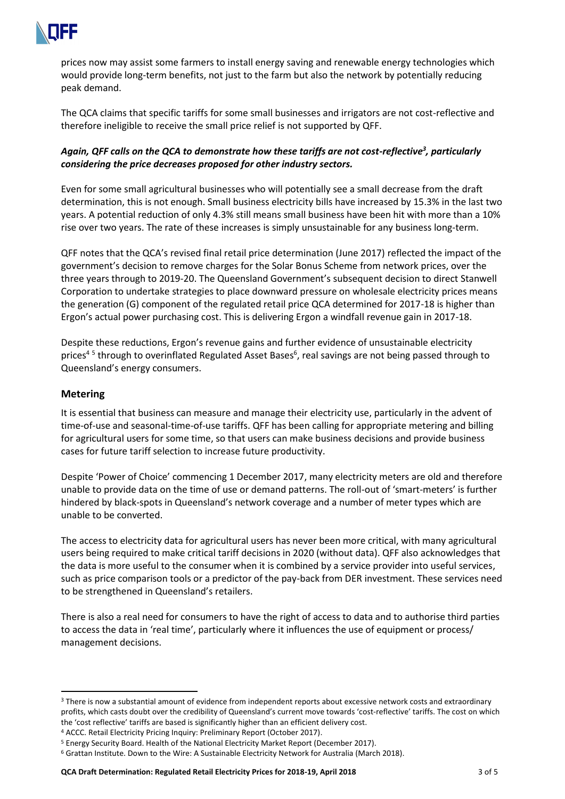

prices now may assist some farmers to install energy saving and renewable energy technologies which would provide long-term benefits, not just to the farm but also the network by potentially reducing peak demand.

The QCA claims that specific tariffs for some small businesses and irrigators are not cost-reflective and therefore ineligible to receive the small price relief is not supported by QFF.

# *Again, QFF calls on the QCA to demonstrate how these tariffs are not cost-reflective<sup>3</sup> , particularly considering the price decreases proposed for other industry sectors.*

Even for some small agricultural businesses who will potentially see a small decrease from the draft determination, this is not enough. Small business electricity bills have increased by 15.3% in the last two years. A potential reduction of only 4.3% still means small business have been hit with more than a 10% rise over two years. The rate of these increases is simply unsustainable for any business long-term.

QFF notes that the QCA's revised final retail price determination (June 2017) reflected the impact of the government's decision to remove charges for the Solar Bonus Scheme from network prices, over the three years through to 2019-20. The Queensland Government's subsequent decision to direct Stanwell Corporation to undertake strategies to place downward pressure on wholesale electricity prices means the generation (G) component of the regulated retail price QCA determined for 2017-18 is higher than Ergon's actual power purchasing cost. This is delivering Ergon a windfall revenue gain in 2017-18.

Despite these reductions, Ergon's revenue gains and further evidence of unsustainable electricity prices<sup>45</sup> through to overinflated Regulated Asset Bases<sup>6</sup>, real savings are not being passed through to Queensland's energy consumers.

## **Metering**

It is essential that business can measure and manage their electricity use, particularly in the advent of time-of-use and seasonal-time-of-use tariffs. QFF has been calling for appropriate metering and billing for agricultural users for some time, so that users can make business decisions and provide business cases for future tariff selection to increase future productivity.

Despite 'Power of Choice' commencing 1 December 2017, many electricity meters are old and therefore unable to provide data on the time of use or demand patterns. The roll-out of 'smart-meters' is further hindered by black-spots in Queensland's network coverage and a number of meter types which are unable to be converted.

The access to electricity data for agricultural users has never been more critical, with many agricultural users being required to make critical tariff decisions in 2020 (without data). QFF also acknowledges that the data is more useful to the consumer when it is combined by a service provider into useful services, such as price comparison tools or a predictor of the pay-back from DER investment. These services need to be strengthened in Queensland's retailers.

There is also a real need for consumers to have the right of access to data and to authorise third parties to access the data in 'real time', particularly where it influences the use of equipment or process/ management decisions.

<sup>&</sup>lt;sup>3</sup> There is now a substantial amount of evidence from independent reports about excessive network costs and extraordinary profits, which casts doubt over the credibility of Queensland's current move towards 'cost-reflective' tariffs. The cost on which the 'cost reflective' tariffs are based is significantly higher than an efficient delivery cost.

<sup>4</sup> ACCC. Retail Electricity Pricing Inquiry: Preliminary Report (October 2017).

<sup>5</sup> Energy Security Board. Health of the National Electricity Market Report (December 2017).

<sup>6</sup> Grattan Institute. Down to the Wire: A Sustainable Electricity Network for Australia (March 2018).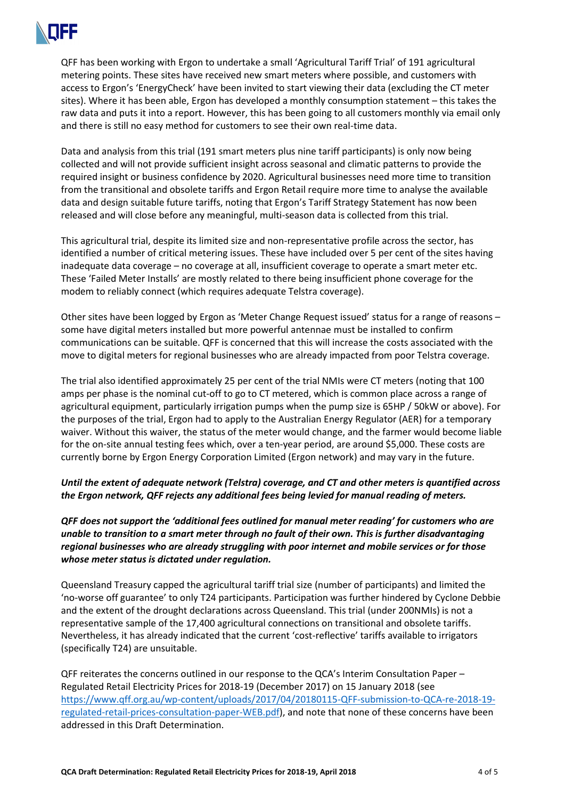

QFF has been working with Ergon to undertake a small 'Agricultural Tariff Trial' of 191 agricultural metering points. These sites have received new smart meters where possible, and customers with access to Ergon's 'EnergyCheck' have been invited to start viewing their data (excluding the CT meter sites). Where it has been able, Ergon has developed a monthly consumption statement – this takes the raw data and puts it into a report. However, this has been going to all customers monthly via email only and there is still no easy method for customers to see their own real-time data.

Data and analysis from this trial (191 smart meters plus nine tariff participants) is only now being collected and will not provide sufficient insight across seasonal and climatic patterns to provide the required insight or business confidence by 2020. Agricultural businesses need more time to transition from the transitional and obsolete tariffs and Ergon Retail require more time to analyse the available data and design suitable future tariffs, noting that Ergon's Tariff Strategy Statement has now been released and will close before any meaningful, multi-season data is collected from this trial.

This agricultural trial, despite its limited size and non-representative profile across the sector, has identified a number of critical metering issues. These have included over 5 per cent of the sites having inadequate data coverage – no coverage at all, insufficient coverage to operate a smart meter etc. These 'Failed Meter Installs' are mostly related to there being insufficient phone coverage for the modem to reliably connect (which requires adequate Telstra coverage).

Other sites have been logged by Ergon as 'Meter Change Request issued' status for a range of reasons – some have digital meters installed but more powerful antennae must be installed to confirm communications can be suitable. QFF is concerned that this will increase the costs associated with the move to digital meters for regional businesses who are already impacted from poor Telstra coverage.

The trial also identified approximately 25 per cent of the trial NMIs were CT meters (noting that 100 amps per phase is the nominal cut-off to go to CT metered, which is common place across a range of agricultural equipment, particularly irrigation pumps when the pump size is 65HP / 50kW or above). For the purposes of the trial, Ergon had to apply to the Australian Energy Regulator (AER) for a temporary waiver. Without this waiver, the status of the meter would change, and the farmer would become liable for the on-site annual testing fees which, over a ten-year period, are around \$5,000. These costs are currently borne by Ergon Energy Corporation Limited (Ergon network) and may vary in the future.

## *Until the extent of adequate network (Telstra) coverage, and CT and other meters is quantified across the Ergon network, QFF rejects any additional fees being levied for manual reading of meters.*

*QFF does not support the 'additional fees outlined for manual meter reading' for customers who are unable to transition to a smart meter through no fault of their own. This is further disadvantaging regional businesses who are already struggling with poor internet and mobile services or for those whose meter status is dictated under regulation.* 

Queensland Treasury capped the agricultural tariff trial size (number of participants) and limited the 'no-worse off guarantee' to only T24 participants. Participation was further hindered by Cyclone Debbie and the extent of the drought declarations across Queensland. This trial (under 200NMIs) is not a representative sample of the 17,400 agricultural connections on transitional and obsolete tariffs. Nevertheless, it has already indicated that the current 'cost-reflective' tariffs available to irrigators (specifically T24) are unsuitable.

QFF reiterates the concerns outlined in our response to the QCA's Interim Consultation Paper – Regulated Retail Electricity Prices for 2018-19 (December 2017) on 15 January 2018 (see [https://www.qff.org.au/wp-content/uploads/2017/04/20180115-QFF-submission-to-QCA-re-2018-19](https://www.qff.org.au/wp-content/uploads/2017/04/20180115-QFF-submission-to-QCA-re-2018-19-regulated-retail-prices-consultation-paper-WEB.pdf) [regulated-retail-prices-consultation-paper-WEB.pdf\)](https://www.qff.org.au/wp-content/uploads/2017/04/20180115-QFF-submission-to-QCA-re-2018-19-regulated-retail-prices-consultation-paper-WEB.pdf), and note that none of these concerns have been addressed in this Draft Determination.